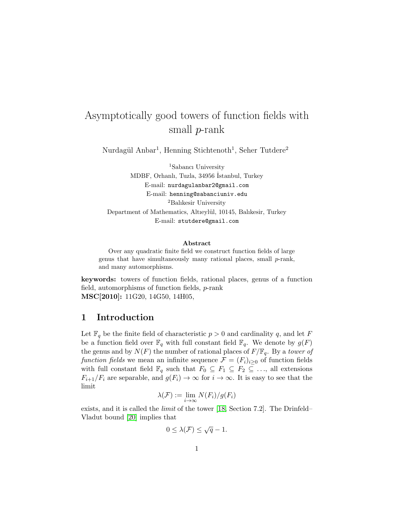# Asymptotically good towers of function fields with small p-rank

Nurdagül Anbar<sup>1</sup>, Henning Stichtenoth<sup>1</sup>, Seher Tutdere<sup>2</sup>

<sup>1</sup>Sabancı University MDBF, Orhanlı, Tuzla, 34956 ˙Istanbul, Turkey E-mail: nurdagulanbar2@gmail.com E-mail: henning@sabanciuniv.edu <sup>2</sup>Balıkesir University Department of Mathematics, Altıeylül, 10145, Balıkesir, Turkey E-mail: stutdere@gmail.com

#### Abstract

Over any quadratic finite field we construct function fields of large genus that have simultaneously many rational places, small p-rank, and many automorphisms.

keywords: towers of function fields, rational places, genus of a function field, automorphisms of function fields, p-rank MSC[2010]: 11G20, 14G50, 14H05,

### 1 Introduction

Let  $\mathbb{F}_q$  be the finite field of characteristic  $p > 0$  and cardinality q, and let F be a function field over  $\mathbb{F}_q$  with full constant field  $\mathbb{F}_q$ . We denote by  $g(F)$ the genus and by  $N(F)$  the number of rational places of  $F/\mathbb{F}_q$ . By a tower of function fields we mean an infinite sequence  $\mathcal{F} = (F_i)_{i \geq 0}$  of function fields with full constant field  $\mathbb{F}_q$  such that  $F_0 \subseteq F_1 \subseteq F_2 \subseteq \ldots$ , all extensions  $F_{i+1}/F_i$  are separable, and  $g(F_i) \to \infty$  for  $i \to \infty$ . It is easy to see that the limit

$$
\lambda(\mathcal{F}) := \lim_{i \to \infty} N(F_i)/g(F_i)
$$

exists, and it is called the limit of the tower [\[18,](#page-14-0) Section 7.2]. The Drinfeld– Vladut bound [\[20\]](#page-14-1) implies that

$$
0 \leq \lambda(\mathcal{F}) \leq \sqrt{q} - 1.
$$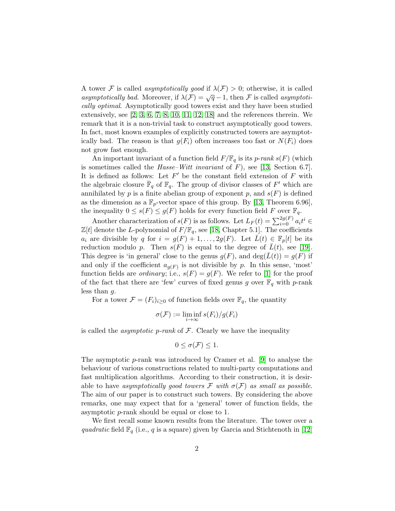A tower F is called *asymptotically good* if  $\lambda(F) > 0$ ; otherwise, it is called asymptotically bad. Moreover, if  $\lambda(\mathcal{F}) = \sqrt{q} - 1$ , then F is called asymptotically optimal. Asymptotically good towers exist and they have been studied extensively, see  $[2, 3, 6, 7, 8, 10, 11, 12, 18]$  $[2, 3, 6, 7, 8, 10, 11, 12, 18]$  $[2, 3, 6, 7, 8, 10, 11, 12, 18]$  $[2, 3, 6, 7, 8, 10, 11, 12, 18]$  $[2, 3, 6, 7, 8, 10, 11, 12, 18]$  $[2, 3, 6, 7, 8, 10, 11, 12, 18]$  $[2, 3, 6, 7, 8, 10, 11, 12, 18]$  $[2, 3, 6, 7, 8, 10, 11, 12, 18]$  $[2, 3, 6, 7, 8, 10, 11, 12, 18]$  and the references therein. We remark that it is a non-trivial task to construct asymptotically good towers. In fact, most known examples of explicitly constructed towers are asymptotically bad. The reason is that  $g(F_i)$  often increases too fast or  $N(F_i)$  does not grow fast enough.

An important invariant of a function field  $F/\mathbb{F}_q$  is its p-rank  $s(F)$  (which is sometimes called the  $Hasse-Witt invariant of F$ , see [\[13,](#page-13-6) Section 6.7]. It is defined as follows: Let  $F'$  be the constant field extension of  $F$  with the algebraic closure  $\overline{\mathbb{F}}_q$  of  $\mathbb{F}_q$ . The group of divisor classes of  $F'$  which are annihilated by  $p$  is a finite abelian group of exponent  $p$ , and  $s(F)$  is defined as the dimension as a  $\mathbb{F}_p$ -vector space of this group. By [\[13,](#page-13-6) Theorem 6.96], the inequality  $0 \leq s(F) \leq g(F)$  holds for every function field F over  $\mathbb{F}_q$ .

Another characterization of  $s(F)$  is as follows. Let  $L_F(t) = \sum_{i=0}^{2g(F)} a_i t^i$  $\mathbb{Z}[t]$  denote the L-polynomial of  $F/\mathbb{F}_q$ , see [\[18,](#page-14-0) Chapter 5.1]. The coefficients  $a_i$  are divisible by q for  $i = g(F) + 1, \ldots, 2g(F)$ . Let  $L(t) \in \mathbb{F}_p[t]$  be its reduction modulo p. Then  $s(F)$  is equal to the degree of  $\bar{L}(t)$ , see [\[19\]](#page-14-2). This degree is 'in general' close to the genus  $g(F)$ , and  $\deg(\bar{L}(t)) = g(F)$  if and only if the coefficient  $a_{g(F)}$  is not divisible by p. In this sense, 'most' function fields are *ordinary*; i.e.,  $s(F) = g(F)$ . We refer to [\[1\]](#page-12-2) for the proof of the fact that there are 'few' curves of fixed genus g over  $\mathbb{F}_q$  with p-rank less than  $g$ .

For a tower  $\mathcal{F} = (F_i)_{i \geq 0}$  of function fields over  $\mathbb{F}_q$ , the quantity

$$
\sigma(\mathcal{F}) := \liminf_{i \to \infty} s(F_i)/g(F_i)
$$

is called the *asymptotic p-rank* of  $\mathcal F$ . Clearly we have the inequality

$$
0 \le \sigma(\mathcal{F}) \le 1.
$$

The asymptotic p-rank was introduced by Cramer et al. [\[9\]](#page-13-7) to analyse the behaviour of various constructions related to multi-party computations and fast multiplication algorithms. According to their construction, it is desirable to have asymptotically good towers F with  $\sigma(\mathcal{F})$  as small as possible. The aim of our paper is to construct such towers. By considering the above remarks, one may expect that for a 'general' tower of function fields, the asymptotic p-rank should be equal or close to 1.

We first recall some known results from the literature. The tower over a quadratic field  $\mathbb{F}_q$  (i.e., q is a square) given by Garcia and Stichtenoth in [\[12\]](#page-13-5)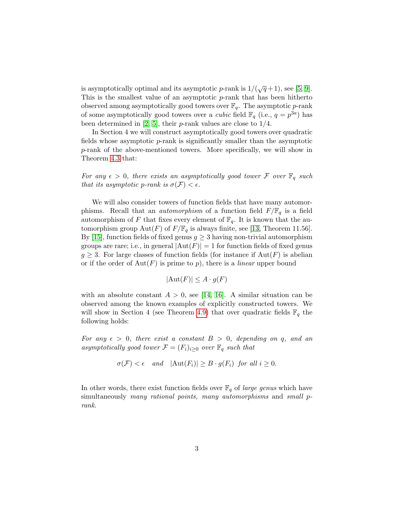is asymptotically optimal and its asymptotic *p*-rank is  $1/(\sqrt{q}+1)$ , see [\[5,](#page-13-8) [9\]](#page-13-7). This is the smallest value of an asymptotic  $p$ -rank that has been hitherto observed among asymptotically good towers over  $\mathbb{F}_q$ . The asymptotic p-rank of some asymptotically good towers over a *cubic* field  $\mathbb{F}_q$  (i.e.,  $q = p^{3a}$ ) has been determined in [\[2,](#page-12-0) [5\]](#page-13-8), their *p*-rank values are close to  $1/4$ .

In Section 4 we will construct asymptotically good towers over quadratic fields whose asymptotic  $p$ -rank is significantly smaller than the asymptotic p-rank of the above-mentioned towers. More specifically, we will show in Theorem [4.3](#page-10-0) that:

For any  $\epsilon > 0$ , there exists an asymptotically good tower F over  $\mathbb{F}_q$  such that its asymptotic p-rank is  $\sigma(\mathcal{F}) < \epsilon$ .

We will also consider towers of function fields that have many automorphisms. Recall that an *automorphism* of a function field  $F/\mathbb{F}_q$  is a field automorphism of F that fixes every element of  $\mathbb{F}_q$ . It is known that the automorphism group Aut(F) of  $F/\mathbb{F}_q$  is always finite, see [\[13,](#page-13-6) Theorem 11.56]. By [\[15\]](#page-13-9), function fields of fixed genus  $g \geq 3$  having non-trivial automorphism groups are rare; i.e., in general  $|\text{Aut}(F)| = 1$  for function fields of fixed genus  $g \geq 3$ . For large classes of function fields (for instance if  $Aut(F)$  is abelian or if the order of  $Aut(F)$  is prime to p), there is a *linear* upper bound

$$
|\text{Aut}(F)| \le A \cdot g(F)
$$

with an absolute constant  $A > 0$ , see [\[14,](#page-13-10) [16\]](#page-13-11). A similar situation can be observed among the known examples of explicitly constructed towers. We will show in Section 4 (see Theorem [4.9\)](#page-11-0) that over quadratic fields  $\mathbb{F}_q$  the following holds:

For any  $\epsilon > 0$ , there exist a constant  $B > 0$ , depending on q, and an asymptotically good tower  $\mathcal{F} = (F_i)_{i>0}$  over  $\mathbb{F}_q$  such that

$$
\sigma(\mathcal{F}) < \epsilon \quad and \quad |\text{Aut}(F_i)| \ge B \cdot g(F_i) \quad \text{for all } i \ge 0.
$$

In other words, there exist function fields over  $\mathbb{F}_q$  of *large genus* which have simultaneously many rational points, many automorphisms and small prank.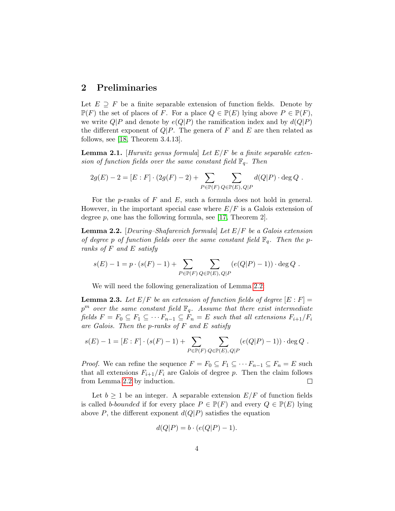### 2 Preliminaries

Let  $E \supseteq F$  be a finite separable extension of function fields. Denote by  $\mathbb{P}(F)$  the set of places of F. For a place  $Q \in \mathbb{P}(E)$  lying above  $P \in \mathbb{P}(F)$ , we write  $Q|P$  and denote by  $e(Q|P)$  the ramification index and by  $d(Q|P)$ the different exponent of  $Q|P$ . The genera of F and E are then related as follows, see [\[18,](#page-14-0) Theorem 3.4.13].

<span id="page-3-2"></span>**Lemma 2.1.** [Hurwitz genus formula] Let  $E/F$  be a finite separable extension of function fields over the same constant field  $\mathbb{F}_q$ . Then

$$
2g(E) - 2 = [E : F] \cdot (2g(F) - 2) + \sum_{P \in \mathbb{P}(F)} \sum_{Q \in \mathbb{P}(E), Q \mid P} d(Q|P) \cdot \deg Q.
$$

For the p-ranks of  $F$  and  $E$ , such a formula does not hold in general. However, in the important special case where  $E/F$  is a Galois extension of degree  $p$ , one has the following formula, see [\[17,](#page-14-3) Theorem 2].

<span id="page-3-0"></span>**Lemma 2.2.** [Deuring–Shafarevich formula] Let  $E/F$  be a Galois extension of degree p of function fields over the same constant field  $\mathbb{F}_q$ . Then the pranks of F and E satisfy

$$
s(E) - 1 = p \cdot (s(F) - 1) + \sum_{P \in \mathbb{P}(F)} \sum_{Q \in \mathbb{P}(E), Q|P} (e(Q|P) - 1)) \cdot \deg Q.
$$

We will need the following generalization of Lemma [2.2:](#page-3-0)

<span id="page-3-1"></span>**Lemma 2.3.** Let  $E/F$  be an extension of function fields of degree  $[E:F]$  =  $p^m$  over the same constant field  $\mathbb{F}_q$ . Assume that there exist intermediate fields  $F = F_0 \subseteq F_1 \subseteq \cdots F_{n-1} \subseteq F_n = E$  such that all extensions  $F_{i+1}/F_i$ are Galois. Then the p-ranks of F and E satisfy

$$
s(E) - 1 = [E : F] \cdot (s(F) - 1) + \sum_{P \in \mathbb{P}(F)} \sum_{Q \in \mathbb{P}(E), Q \mid P} (e(Q|P) - 1)) \cdot \deg Q.
$$

*Proof.* We can refine the sequence  $F = F_0 \subseteq F_1 \subseteq \cdots F_{n-1} \subseteq F_n = E$  such that all extensions  $F_{i+1}/F_i$  are Galois of degree p. Then the claim follows from Lemma [2.2](#page-3-0) by induction.  $\Box$ 

Let  $b \geq 1$  be an integer. A separable extension  $E/F$  of function fields is called b-bounded if for every place  $P \in \mathbb{P}(F)$  and every  $Q \in \mathbb{P}(E)$  lying above P, the different exponent  $d(Q|P)$  satisfies the equation

$$
d(Q|P) = b \cdot (e(Q|P) - 1).
$$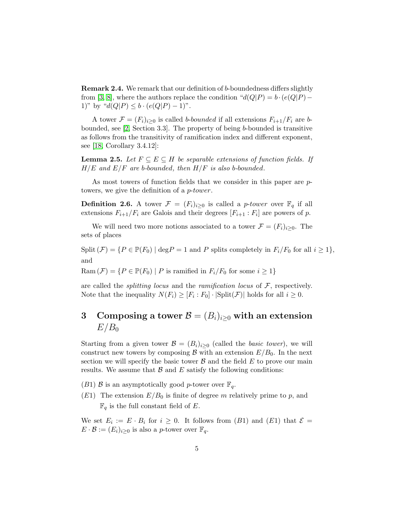Remark 2.4. We remark that our definition of b-boundedness differs slightly from [\[3,](#page-12-1) [8\]](#page-13-2), where the authors replace the condition " $d(Q|P) = b \cdot (e(Q|P) -$ 1)" by " $d(Q|P) \leq b \cdot (e(Q|P) - 1)$ ".

A tower  $\mathcal{F} = (F_i)_{i>0}$  is called b-bounded if all extensions  $F_{i+1}/F_i$  are bbounded, see [\[2,](#page-12-0) Section 3.3]. The property of being b-bounded is transitive as follows from the transitivity of ramification index and different exponent, see [\[18,](#page-14-0) Corollary 3.4.12]:

**Lemma 2.5.** Let  $F \subseteq E \subseteq H$  be separable extensions of function fields. If  $H/E$  and  $E/F$  are b-bounded, then  $H/F$  is also b-bounded.

As most towers of function fields that we consider in this paper are ptowers, we give the definition of a *p-tower*.

**Definition 2.6.** A tower  $\mathcal{F} = (F_i)_{i \geq 0}$  is called a *p-tower* over  $\mathbb{F}_q$  if all extensions  $F_{i+1}/F_i$  are Galois and their degrees  $[F_{i+1}:F_i]$  are powers of p.

We will need two more notions associated to a tower  $\mathcal{F} = (F_i)_{i \geq 0}$ . The sets of places

Split  $(\mathcal{F}) = \{P \in \mathbb{P}(F_0) \mid \text{deg} P = 1 \text{ and } P \text{ splits completely in } F_i/F_0 \text{ for all } i \geq 1\},\$ and

Ram  $(F) = \{ P \in \mathbb{P}(F_0) \mid P \text{ is ramified in } F_i/F_0 \text{ for some } i \geq 1 \}$ 

are called the *splitting locus* and the *ramification locus* of  $\mathcal{F}$ , respectively. Note that the inequality  $N(F_i) \geq [F_i : F_0] \cdot |\text{Split}(\mathcal{F})|$  holds for all  $i \geq 0$ .

# 3 Composing a tower  $\mathcal{B} = (B_i)_{i\geq 0}$  with an extension  $E/B_0$

Starting from a given tower  $\mathcal{B} = (B_i)_{i>0}$  (called the *basic tower*), we will construct new towers by composing B with an extension  $E/B_0$ . In the next section we will specify the basic tower  $\beta$  and the field  $E$  to prove our main results. We assume that  $\beta$  and  $E$  satisfy the following conditions:

- $(B1)$  B is an asymptotically good p-tower over  $\mathbb{F}_q$ .
- $(E1)$  The extension  $E/B<sub>0</sub>$  is finite of degree m relatively prime to p, and  $\mathbb{F}_q$  is the full constant field of E.

<span id="page-4-0"></span>We set  $E_i := E \cdot B_i$  for  $i \geq 0$ . It follows from  $(B1)$  and  $(E1)$  that  $\mathcal{E} =$  $E \cdot \mathcal{B} := (E_i)_{i>0}$  is also a *p*-tower over  $\mathbb{F}_q$ .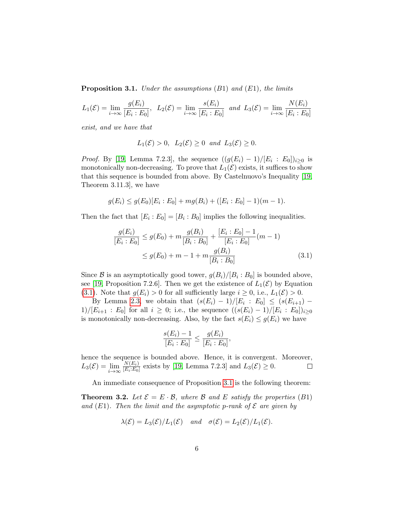**Proposition 3.1.** Under the assumptions  $(B1)$  and  $(E1)$ , the limits

$$
L_1(\mathcal{E}) = \lim_{i \to \infty} \frac{g(E_i)}{[E_i : E_0]}, \ \ L_2(\mathcal{E}) = \lim_{i \to \infty} \frac{s(E_i)}{[E_i : E_0]} \ \ and \ \ L_3(\mathcal{E}) = \lim_{i \to \infty} \frac{N(E_i)}{[E_i : E_0]}
$$

exist, and we have that

$$
L_1(\mathcal{E}) > 0
$$
,  $L_2(\mathcal{E}) \ge 0$  and  $L_3(\mathcal{E}) \ge 0$ .

*Proof.* By [\[19,](#page-14-2) Lemma 7.2.3], the sequence  $((g(E_i) - 1)/[E_i : E_0])_{i \geq 0}$  is monotonically non-decreasing. To prove that  $L_1(\mathcal{E})$  exists, it suffices to show that this sequence is bounded from above. By Castelnuovo's Inequality [\[19,](#page-14-2) Theorem 3.11.3], we have

$$
g(E_i) \le g(E_0)[E_i : E_0] + mg(B_i) + ([E_i : E_0] - 1)(m - 1).
$$

Then the fact that  $[E_i : E_0] = [B_i : B_0]$  implies the following inequalities.

$$
\frac{g(E_i)}{[E_i : E_0]} \le g(E_0) + m \frac{g(B_i)}{[B_i : B_0]} + \frac{[E_i : E_0] - 1}{[E_i : E_0]}(m - 1)
$$
  

$$
\le g(E_0) + m - 1 + m \frac{g(B_i)}{[B_i : B_0]}
$$
(3.1)

Since  $\mathcal B$  is an asymptotically good tower,  $g(B_i)/[B_i:B_0]$  is bounded above, see [\[19,](#page-14-2) Proposition 7.2.6]. Then we get the existence of  $L_1(\mathcal{E})$  by Equation [\(3.1\)](#page-5-0). Note that  $g(E_i) > 0$  for all sufficiently large  $i \geq 0$ , i.e.,  $L_1(\mathcal{E}) > 0$ .

By Lemma [2.3,](#page-3-1) we obtain that  $(s(E_i) - 1)/[E_i : E_0] \le (s(E_{i+1}) 1)/[E_{i+1} : E_0]$  for all  $i \geq 0$ ; i.e., the sequence  $((s(E_i) - 1)/[E_i : E_0])_{i \geq 0}$ is monotonically non-decreasing. Also, by the fact  $s(E_i) \leq g(E_i)$  we have

<span id="page-5-0"></span>
$$
\frac{s(E_i) - 1}{[E_i : E_0]} \le \frac{g(E_i)}{[E_i : E_0]},
$$

hence the sequence is bounded above. Hence, it is convergent. Moreover,  $N(E_i)$  $L_3(\mathcal{E}) = \lim_{i \to \infty}$  $\frac{N(E_i)}{[E_i:E_0]}$  exists by [\[19,](#page-14-2) Lemma 7.2.3] and  $L_3(\mathcal{E}) \geq 0$ .  $\Box$ 

An immediate consequence of Proposition [3.1](#page-4-0) is the following theorem:

<span id="page-5-1"></span>**Theorem 3.2.** Let  $\mathcal{E} = E \cdot \mathcal{B}$ , where  $\mathcal{B}$  and  $E$  satisfy the properties (B1) and  $(E1)$ . Then the limit and the asymptotic p-rank of  $\mathcal E$  are given by

$$
\lambda(\mathcal{E}) = L_3(\mathcal{E})/L_1(\mathcal{E})
$$
 and  $\sigma(\mathcal{E}) = L_2(\mathcal{E})/L_1(\mathcal{E}).$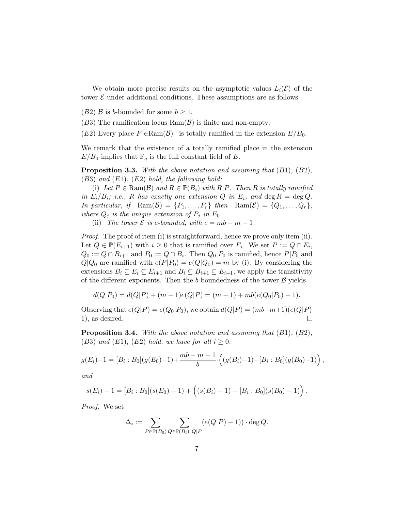We obtain more precise results on the asymptotic values  $L_i(\mathcal{E})$  of the tower  $\mathcal E$  under additional conditions. These assumptions are as follows:

(B2) B is b-bounded for some  $b \geq 1$ .

 $(B3)$  The ramification locus  $Ram(\mathcal{B})$  is finite and non-empty.

 $(E2)$  Every place  $P \in \text{Ram}(\mathcal{B})$  is totally ramified in the extension  $E/B_0$ .

We remark that the existence of a totally ramified place in the extension  $E/B_0$  implies that  $\mathbb{F}_q$  is the full constant field of E.

<span id="page-6-0"></span>Proposition 3.3. With the above notation and assuming that  $(B1)$ ,  $(B2)$ ,  $(B3)$  and  $(E1)$ ,  $(E2)$  hold, the following hold:

(i) Let  $P \in \text{Ram}(\mathcal{B})$  and  $R \in \mathbb{P}(B_i)$  with  $R|P$ . Then R is totally ramified in  $E_i/B_i$ ; i.e., R has exactly one extension Q in  $E_i$ , and  $\deg R = \deg Q$ . In particular, if  $\text{Ram}(\mathcal{B}) = \{P_1, \ldots, P_r\}$  then  $\text{Ram}(\mathcal{E}) = \{Q_1, \ldots, Q_r\},$ where  $Q_j$  is the unique extension of  $P_j$  in  $E_0$ .

(ii) The tower  $\mathcal E$  is c-bounded, with  $c = mb - m + 1$ .

*Proof.* The proof of item (i) is straightforward, hence we prove only item (ii). Let  $Q \in \mathbb{P}(E_{i+1})$  with  $i \geq 0$  that is ramified over  $E_i$ . We set  $P := Q \cap \overline{E_i}$ ,  $Q_0 := Q \cap B_{i+1}$  and  $P_0 := Q \cap B_i$ . Then  $Q_0 | P_0$  is ramified, hence  $P | P_0$  and  $Q|Q_0$  are ramified with  $e(P|P_0) = e(Q|Q_0) = m$  by (i). By considering the extensions  $B_i \subseteq E_i \subseteq E_{i+1}$  and  $B_i \subseteq B_{i+1} \subseteq E_{i+1}$ , we apply the transitivity of the different exponents. Then the b-boundedness of the tower  $\beta$  yields

$$
d(Q|P_0) = d(Q|P) + (m-1)e(Q|P) = (m-1) + mb(e(Q_0|P_0) - 1).
$$

Observing that  $e(Q|P) = e(Q_0|P_0)$ , we obtain  $d(Q|P) = (mb-m+1)(e(Q|P) -$ 1), as desired.  $\Box$ 

<span id="page-6-1"></span>**Proposition 3.4.** With the above notation and assuming that  $(B1)$ ,  $(B2)$ , (B3) and (E1), (E2) hold, we have for all  $i \geq 0$ :

$$
g(E_i)-1=[B_i:B_0](g(E_0)-1)+\frac{mb-m+1}{b}\cdot ((g(B_i)-1)-[B_i:B_0](g(B_0)-1)),
$$

and

$$
s(E_i)-1=[B_i:B_0](s(E_0)-1)+\left((s(B_i)-1)-[B_i:B_0](s(B_0)-1)\right).
$$

Proof. We set

$$
\Delta_i := \sum_{P \in \mathbb{P}(B_0)} \sum_{Q \in \mathbb{P}(B_i), Q \mid P} (e(Q|P) - 1)) \cdot \deg Q.
$$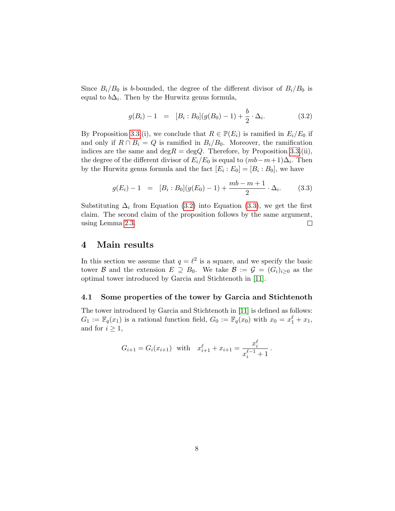Since  $B_i/B_0$  is b-bounded, the degree of the different divisor of  $B_i/B_0$  is equal to  $b\Delta_i$ . Then by the Hurwitz genus formula,

<span id="page-7-0"></span>
$$
g(B_i) - 1 = [B_i : B_0](g(B_0) - 1) + \frac{b}{2} \cdot \Delta_i.
$$
 (3.2)

By Proposition [3.3.](#page-6-0)(i), we conclude that  $R \in \mathbb{P}(E_i)$  is ramified in  $E_i/E_0$  if and only if  $R \cap B_i = Q$  is ramified in  $B_i/B_0$ . Moreover, the ramification indices are the same and deg $R = \text{deg}Q$ . Therefore, by Proposition [3.3.](#page-6-0)(ii), the degree of the different divisor of  $E_i/E_0$  is equal to  $(mb-m+1)\Delta_i$ . Then by the Hurwitz genus formula and the fact  $[E_i : E_0] = [B_i : B_0]$ , we have

<span id="page-7-1"></span>
$$
g(E_i) - 1 = [B_i : B_0](g(E_0) - 1) + \frac{mb - m + 1}{2} \cdot \Delta_i.
$$
 (3.3)

Substituting  $\Delta_i$  from Equation [\(3.2\)](#page-7-0) into Equation [\(3.3\)](#page-7-1), we get the first claim. The second claim of the proposition follows by the same argument, using Lemma [2.3.](#page-3-1)  $\Box$ 

#### 4 Main results

In this section we assume that  $q = \ell^2$  is a square, and we specify the basic tower B and the extension  $E \supseteq B_0$ . We take  $B := \mathcal{G} = (G_i)_{i>0}$  as the optimal tower introduced by Garcia and Stichtenoth in [\[11\]](#page-13-4).

#### 4.1 Some properties of the tower by Garcia and Stichtenoth

The tower introduced by Garcia and Stichtenoth in [\[11\]](#page-13-4) is defined as follows:  $G_1 := \mathbb{F}_q(x_1)$  is a rational function field,  $G_0 := \mathbb{F}_q(x_0)$  with  $x_0 = x_1^{\ell} + x_1$ , and for  $i \geq 1$ ,

$$
G_{i+1} = G_i(x_{i+1}) \text{ with } x_{i+1}^{\ell} + x_{i+1} = \frac{x_i^{\ell}}{x_i^{\ell-1} + 1}.
$$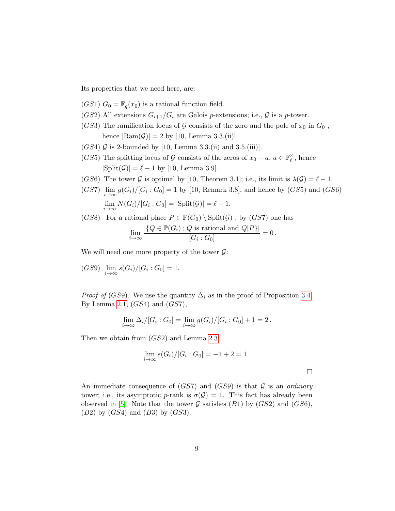Its properties that we need here, are:

- $(GS1) G_0 = \mathbb{F}_q(x_0)$  is a rational function field.
- (GS2) All extensions  $G_{i+1}/G_i$  are Galois p-extensions; i.e.,  $\mathcal G$  is a p-tower.
- (GS3) The ramification locus of G consists of the zero and the pole of  $x_0$  in  $G_0$ , hence  $|\text{Ram}(\mathcal{G})| = 2$  by [10, Lemma 3.3.(ii)].
- $(GS4)$  G is 2-bounded by [10, Lemma 3.3.(ii) and 3.5.(iii)].
- (GS5) The splitting locus of G consists of the zeros of  $x_0 a$ ,  $a \in \mathbb{F}_\ell^\times$  $\chi^{\times}$ , hence  $|\text{Split}(\mathcal{G})| = \ell - 1$  by [10, Lemma 3.9].
- (GS6) The tower G is optimal by [10, Theorem 3.1]; i.e., its limit is  $\lambda(\mathcal{G}) = \ell 1$ .
- $(GS7)$   $\lim_{i \to \infty} g(G_i)/[G_i:G_0] = 1$  by [10, Remark 3.8], and hence by  $(GS5)$  and  $(GS6)$  $\lim_{i\to\infty} N(G_i)/[G_i:G_0] = |\text{Split}(\mathcal{G})| = \ell - 1.$

(GS8) For a rational place 
$$
P \in \mathbb{P}(G_0) \setminus \text{Split}(\mathcal{G})
$$
, by (GS7) one has  
\n
$$
\lim_{i \to \infty} \frac{|\{Q \in \mathbb{P}(G_i) \, ; \, Q \text{ is rational and } Q|P\}|}{[G_i : G_0]} = 0.
$$

We will need one more property of the tower  $\mathcal{G}$ :

(GS9) 
$$
\lim_{i \to \infty} s(G_i)/[G_i : G_0] = 1.
$$

*Proof of (GS9).* We use the quantity  $\Delta_i$  as in the proof of Proposition [3.4.](#page-6-1) By Lemma [2.1,](#page-3-2)  $(GS4)$  and  $(GST)$ ,

$$
\lim_{i \to \infty} \Delta_i/[G_i : G_0] = \lim_{i \to \infty} g(G_i)/[G_i : G_0] + 1 = 2.
$$

Then we obtain from (GS2) and Lemma [2.3:](#page-3-1)

$$
\lim_{i \to \infty} s(G_i)/[G_i:G_0] = -1 + 2 = 1.
$$

 $\Box$ 

An immediate consequence of  $(GS7)$  and  $(GS9)$  is that G is an ordinary tower; i.e., its asymptotic p-rank is  $\sigma(\mathcal{G}) = 1$ . This fact has already been observed in [\[5\]](#page-13-8). Note that the tower  $G$  satisfies (B1) by (GS2) and (GS6),  $(B2)$  by  $(GS4)$  and  $(B3)$  by  $(GS3)$ .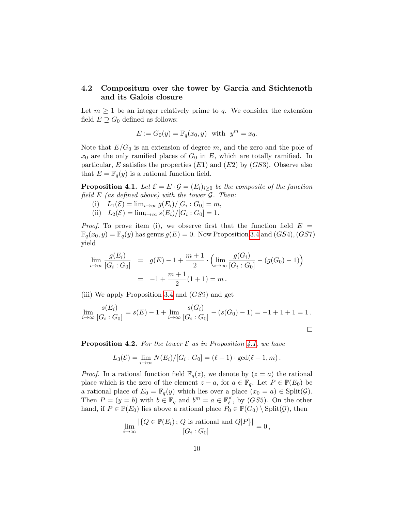#### 4.2 Compositum over the tower by Garcia and Stichtenoth and its Galois closure

Let  $m \geq 1$  be an integer relatively prime to q. We consider the extension field  $E \supseteq G_0$  defined as follows:

$$
E := G_0(y) = \mathbb{F}_q(x_0, y)
$$
 with  $y^m = x_0$ .

Note that  $E/G_0$  is an extension of degree m, and the zero and the pole of  $x_0$  are the only ramified places of  $G_0$  in E, which are totally ramified. In particular, E satisfies the properties  $(E1)$  and  $(E2)$  by  $(GS3)$ . Observe also that  $E = \mathbb{F}_q(y)$  is a rational function field.

<span id="page-9-0"></span>**Proposition 4.1.** Let  $\mathcal{E} = E \cdot \mathcal{G} = (E_i)_{i>0}$  be the composite of the function field  $E$  (as defined above) with the tower  $\mathcal{G}$ . Then:

- (i)  $L_1(\mathcal{E}) = \lim_{i \to \infty} g(E_i) / [G_i : G_0] = m,$
- (ii)  $L_2(\mathcal{E}) = \lim_{i \to \infty} s(E_i) / [G_i : G_0] = 1.$

*Proof.* To prove item (i), we observe first that the function field  $E =$  $\mathbb{F}_q(x_0, y) = \mathbb{F}_q(y)$  has genus  $g(E) = 0$ . Now Proposition [3.4](#page-6-1) and  $(GS4)$ ,  $(GS7)$ yield

$$
\lim_{i \to \infty} \frac{g(E_i)}{[G_i : G_0]} = g(E) - 1 + \frac{m+1}{2} \cdot \left( \lim_{i \to \infty} \frac{g(G_i)}{[G_i : G_0]} - (g(G_0) - 1) \right)
$$

$$
= -1 + \frac{m+1}{2} (1+1) = m.
$$

(iii) We apply Proposition [3.4](#page-6-1) and (GS9) and get

$$
\lim_{i \to \infty} \frac{s(E_i)}{[G_i: G_0]} = s(E) - 1 + \lim_{i \to \infty} \frac{s(G_i)}{[G_i: G_0]} - (s(G_0) - 1) = -1 + 1 + 1 = 1.
$$

<span id="page-9-1"></span>**Proposition 4.2.** For the tower  $\mathcal E$  as in Proposition [4.1,](#page-9-0) we have

$$
L_3(\mathcal{E}) = \lim_{i \to \infty} N(E_i) / [G_i : G_0] = (\ell - 1) \cdot \gcd(\ell + 1, m).
$$

*Proof.* In a rational function field  $\mathbb{F}_q(z)$ , we denote by  $(z = a)$  the rational place which is the zero of the element  $z - a$ , for  $a \in \mathbb{F}_q$ . Let  $P \in \mathbb{P}(E_0)$  be a rational place of  $E_0 = \mathbb{F}_q(y)$  which lies over a place  $(x_0 = a) \in Split(\mathcal{G})$ . Then  $P = (y = b)$  with  $b \in \mathbb{F}_q$  and  $b^m = a \in \mathbb{F}_p^{\times}$  $_{\ell}^{\times}$ , by (*GS*5). On the other hand, if  $P \in \mathbb{P}(E_0)$  lies above a rational place  $P_0 \in \mathbb{P}(G_0) \setminus \text{Split}(\mathcal{G})$ , then

$$
\lim_{i \to \infty} \frac{|\{Q \in \mathbb{P}(E_i) \, ; \, Q \text{ is rational and } Q|P\}|}{[G_i : G_0]} = 0 \,,
$$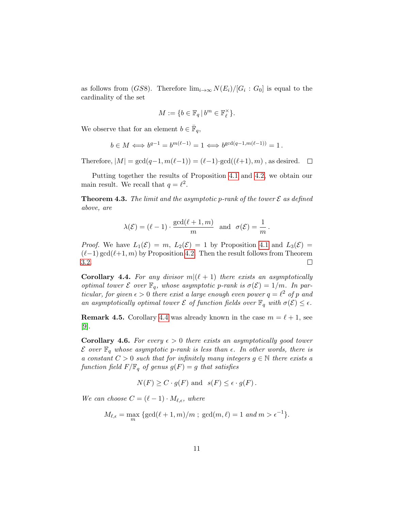as follows from (*GS*8). Therefore  $\lim_{i\to\infty} N(E_i)/[G_i:G_0]$  is equal to the cardinality of the set

$$
M := \{ b \in \mathbb{F}_q \, | \, b^m \in \mathbb{F}_\ell^\times \}.
$$

We observe that for an element  $b \in \overline{\mathbb{F}}_q$ ,

$$
b \in M \Longleftrightarrow b^{q-1} = b^{m(\ell-1)} = 1 \Longleftrightarrow b^{\gcd(q-1,m(\ell-1))} = 1.
$$

Therefore,  $|M| = \gcd(q-1, m(\ell-1)) = (\ell-1) \cdot \gcd((\ell+1), m)$ , as desired.  $\square$ 

Putting together the results of Proposition [4.1](#page-9-0) and [4.2,](#page-9-1) we obtain our main result. We recall that  $q = \ell^2$ .

<span id="page-10-0"></span>**Theorem 4.3.** The limit and the asymptotic p-rank of the tower  $\mathcal E$  as defined above, are

$$
\lambda(\mathcal{E}) = (\ell - 1) \cdot \frac{\gcd(\ell + 1, m)}{m}
$$
 and  $\sigma(\mathcal{E}) = \frac{1}{m}$ .

*Proof.* We have  $L_1(\mathcal{E}) = m$ ,  $L_2(\mathcal{E}) = 1$  by Proposition [4.1](#page-9-0) and  $L_3(\mathcal{E}) =$  $(\ell-1) \gcd(\ell+1, m)$  by Proposition [4.2.](#page-9-1) Then the result follows from Theorem [3.2.](#page-5-1)  $\Box$ 

<span id="page-10-1"></span>**Corollary 4.4.** For any divisor  $m|(\ell + 1)$  there exists an asymptotically optimal tower  $\mathcal E$  over  $\mathbb F_q$ , whose asymptotic p-rank is  $\sigma(\mathcal E)=1/m$ . In particular, for given  $\epsilon > 0$  there exist a large enough even power  $q = \ell^2$  of p and an asymptotically optimal tower  $\mathcal E$  of function fields over  $\mathbb F_q$  with  $\sigma(\mathcal E) \leq \epsilon$ .

**Remark 4.5.** Corollary [4.4](#page-10-1) was already known in the case  $m = \ell + 1$ , see [\[9\]](#page-13-7).

**Corollary 4.6.** For every  $\epsilon > 0$  there exists an asymptotically good tower  $\mathcal E$  over  $\mathbb F_q$  whose asymptotic p-rank is less than  $\epsilon$ . In other words, there is a constant  $C > 0$  such that for infinitely many integers  $g \in \mathbb{N}$  there exists a function field  $F/\mathbb{F}_q$  of genus  $g(F) = g$  that satisfies

$$
N(F) \ge C \cdot g(F)
$$
 and  $s(F) \le \epsilon \cdot g(F)$ .

We can choose  $C = (\ell - 1) \cdot M_{\ell, \epsilon}$ , where

$$
M_{\ell,\epsilon} = \max_m \left\{ \gcd(\ell+1,m)/m \; ; \; \gcd(m,\ell) = 1 \; and \; m > \epsilon^{-1} \right\}.
$$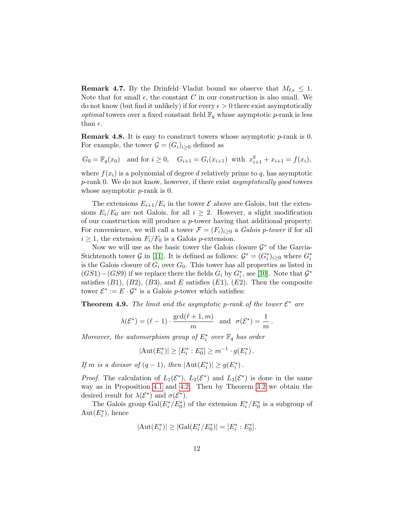**Remark 4.7.** By the Drinfeld–Vladut bound we observe that  $M_{\ell, \epsilon} \leq 1$ . Note that for small  $\epsilon$ , the constant C in our construction is also small. We do not know (but find it unlikely) if for every  $\epsilon > 0$  there exist asymptotically *optimal* towers over a fixed constant field  $\mathbb{F}_q$  whose asymptotic p-rank is less than  $\epsilon$ .

**Remark 4.8.** It is easy to construct towers whose asymptotic  $p$ -rank is 0. For example, the tower  $\mathcal{G} = (G_i)_{i>0}$  defined as

$$
G_0 = \mathbb{F}_q(x_0)
$$
 and for  $i \ge 0$ ,  $G_{i+1} = G_i(x_{i+1})$  with  $x_{i+1}^q + x_{i+1} = f(x_i)$ ,

where  $f(x_i)$  is a polynomial of degree d relatively prime to q, has asymptotic p-rank 0. We do not know, however, if there exist asymptotically good towers whose asymptotic  $p$ -rank is 0.

The extensions  $E_{i+1}/E_i$  in the tower  $\mathcal E$  above are Galois, but the extensions  $E_i/E_0$  are not Galois, for all  $i \geq 2$ . However, a slight modification of our construction will produce a p-tower having that additional property. For convenience, we will call a tower  $\mathcal{F} = (F_i)_{i \geq 0}$  a *Galois p-tower* if for all  $i \geq 1$ , the extension  $F_i/F_0$  is a Galois *p*-extension.

Now we will use as the basic tower the Galois closure  $\mathcal{G}^*$  of the Garcia-Stichtenoth tower  $G$  in [\[11\]](#page-13-4). It is defined as follows:  $G^* = (G_i^*)_{i \geq 0}$  where  $G_i^*$ is the Galois closure of  $G_i$  over  $G_0$ . This tower has all properties as listed in  $(GS1)-(GS9)$  if we replace there the fields  $G_i$  by  $G_i^*$ , see [\[10\]](#page-13-3). Note that  $\mathcal{G}^*$ satisfies  $(B1)$ ,  $(B2)$ ,  $(B3)$ , and E satisfies  $(E1)$ ,  $(E2)$ . Then the composite tower  $\mathcal{E}^* := E \cdot \mathcal{G}^*$  is a Galois p-tower which satisfies:

<span id="page-11-0"></span>**Theorem 4.9.** The limit and the asymptotic p-rank of the tower  $\mathcal{E}^*$  are

$$
\lambda(\mathcal{E}^*) = (\ell - 1) \cdot \frac{\gcd(\ell + 1, m)}{m}
$$
 and  $\sigma(\mathcal{E}^*) = \frac{1}{m}$ .

Moreover, the automorphism group of  $E_i^*$  over  $\mathbb{F}_q$  has order

$$
|\text{Aut}(E_i^*)| \ge [E_i^* : E_0^*] \ge m^{-1} \cdot g(E_i^*) \, .
$$

If m is a divisor of  $(q-1)$ , then  $|\text{Aut}(E_i^*)| \geq g(E_i^*)$ .

*Proof.* The calculation of  $L_1(\mathcal{E}^*)$ ,  $L_2(\mathcal{E}^*)$  and  $L_3(\mathcal{E}^*)$  is done in the same way as in Proposition [4.1](#page-9-0) and [4.2.](#page-9-1) Then by Theorem [3.2](#page-5-1) we obtain the desired result for  $\lambda(\mathcal{E}^*)$  and  $\sigma(\mathcal{E}^*)$ .

The Galois group  $Gal(E_i^*/E_0^*)$  of the extension  $E_i^*/E_0^*$  is a subgroup of  $Aut(E_i^*),$  hence

$$
|\text{Aut}(E_i^*)| \ge |\text{Gal}(E_i^*/E_0^*)| = [E_i^* : E_0^*].
$$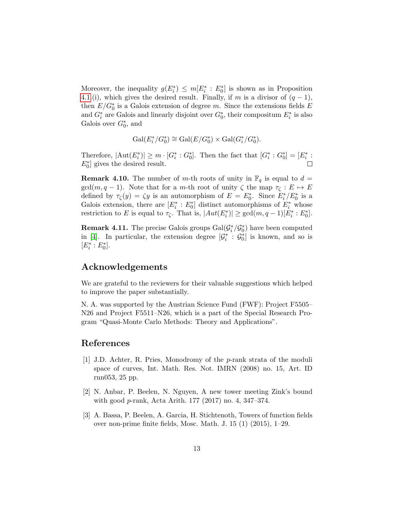Moreover, the inequality  $g(E_i^*) \leq m[E_i^* : E_0^*]$  is shown as in Proposition [4.1.](#page-9-0)(i), which gives the desired result. Finally, if m is a divisor of  $(q-1)$ , then  $E/G_0^*$  is a Galois extension of degree m. Since the extensions fields  $E$ and  $G_i^*$  are Galois and linearly disjoint over  $G_0^*$ , their compositum  $E_i^*$  is also Galois over  $G_0^*$ , and

$$
\operatorname{Gal}(E_i^*/G_0^*) \cong \operatorname{Gal}(E/G_0^*) \times \operatorname{Gal}(G_i^*/G_0^*).
$$

Therefore,  $|\text{Aut}(E_i^*)| \ge m \cdot [G_i^* : G_0^*]$ . Then the fact that  $[G_i^* : G_0^*] = [E_i^* : G_0^*]$  $E_0^*$ ] gives the desired result.

**Remark 4.10.** The number of m-th roots of unity in  $\mathbb{F}_q$  is equal to  $d =$  $gcd(m, q - 1)$ . Note that for a m-th root of unity  $\zeta$  the map  $\tau_{\zeta}: E \mapsto E$ defined by  $\tau_{\zeta}(y) = \zeta y$  is an automorphism of  $E = E_0^*$ . Since  $E_i^*/E_0^*$  is a Galois extension, there are  $[E_i^* : E_0^*]$  distinct automorphisms of  $E_i^*$  whose restriction to E is equal to  $\tau_{\zeta}$ . That is,  $|Aut(E_i^*)| \geq \gcd(m, q-1)[E_i^*: E_0^*].$ 

**Remark 4.11.** The precise Galois groups  $Gal(\mathcal{G}_i^*/\mathcal{G}_0^*)$  have been computed in [\[4\]](#page-13-12). In particular, the extension degree  $[\mathcal{G}_i^* : \mathcal{G}_0^*]$  is known, and so is  $[E_i^*:E_0^*].$ 

### Acknowledgements

We are grateful to the reviewers for their valuable suggestions which helped to improve the paper substantially.

N. A. was supported by the Austrian Science Fund (FWF): Project F5505– N26 and Project F5511–N26, which is a part of the Special Research Program "Quasi-Monte Carlo Methods: Theory and Applications".

## References

- <span id="page-12-2"></span>[1] J.D. Achter, R. Pries, Monodromy of the p-rank strata of the moduli space of curves, Int. Math. Res. Not. IMRN (2008) no. 15, Art. ID rnn053, 25 pp.
- <span id="page-12-0"></span>[2] N. Anbar, P. Beelen, N. Nguyen, A new tower meeting Zink's bound with good p-rank, Acta Arith. 177 (2017) no. 4, 347–374.
- <span id="page-12-1"></span>[3] A. Bassa, P. Beelen, A. Garcia, H. Stichtenoth, Towers of function fields over non-prime finite fields, Mosc. Math. J. 15 (1) (2015), 1–29.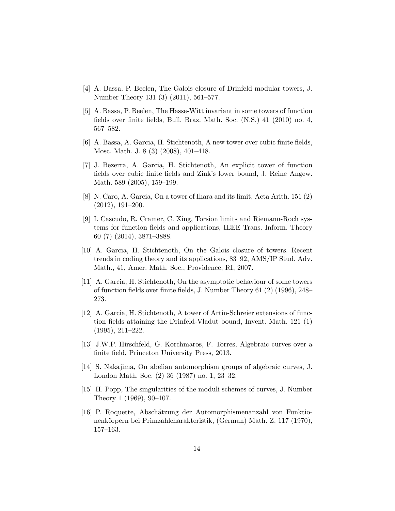- <span id="page-13-12"></span>[4] A. Bassa, P. Beelen, The Galois closure of Drinfeld modular towers, J. Number Theory 131 (3) (2011), 561–577.
- <span id="page-13-8"></span>[5] A. Bassa, P. Beelen, The Hasse-Witt invariant in some towers of function fields over finite fields, Bull. Braz. Math. Soc. (N.S.) 41 (2010) no. 4, 567–582.
- <span id="page-13-0"></span>[6] A. Bassa, A. Garcia, H. Stichtenoth, A new tower over cubic finite fields, Mosc. Math. J. 8 (3) (2008), 401–418.
- <span id="page-13-1"></span>[7] J. Bezerra, A. Garcia, H. Stichtenoth, An explicit tower of function fields over cubic finite fields and Zink's lower bound, J. Reine Angew. Math. 589 (2005), 159–199.
- <span id="page-13-2"></span>[8] N. Caro, A. Garcia, On a tower of Ihara and its limit, Acta Arith. 151 (2) (2012), 191–200.
- <span id="page-13-7"></span>[9] I. Cascudo, R. Cramer, C. Xing, Torsion limits and Riemann-Roch systems for function fields and applications, IEEE Trans. Inform. Theory 60 (7) (2014), 3871–3888.
- <span id="page-13-3"></span>[10] A. Garcia, H. Stichtenoth, On the Galois closure of towers. Recent trends in coding theory and its applications, 83–92, AMS/IP Stud. Adv. Math., 41, Amer. Math. Soc., Providence, RI, 2007.
- <span id="page-13-4"></span>[11] A. Garcia, H. Stichtenoth, On the asymptotic behaviour of some towers of function fields over finite fields, J. Number Theory 61 (2) (1996), 248– 273.
- <span id="page-13-5"></span>[12] A. Garcia, H. Stichtenoth, A tower of Artin-Schreier extensions of function fields attaining the Drinfeld-Vladut bound, Invent. Math. 121 (1) (1995), 211–222.
- <span id="page-13-6"></span>[13] J.W.P. Hirschfeld, G. Korchmaros, F. Torres, Algebraic curves over a finite field, Princeton University Press, 2013.
- <span id="page-13-10"></span>[14] S. Nakajima, On abelian automorphism groups of algebraic curves, J. London Math. Soc. (2) 36 (1987) no. 1, 23–32.
- <span id="page-13-9"></span>[15] H. Popp, The singularities of the moduli schemes of curves, J. Number Theory 1 (1969), 90–107.
- <span id="page-13-11"></span>[16] P. Roquette, Absch¨atzung der Automorphismenanzahl von Funktionenkörpern bei Primzahlcharakteristik, (German) Math. Z. 117 (1970), 157–163.